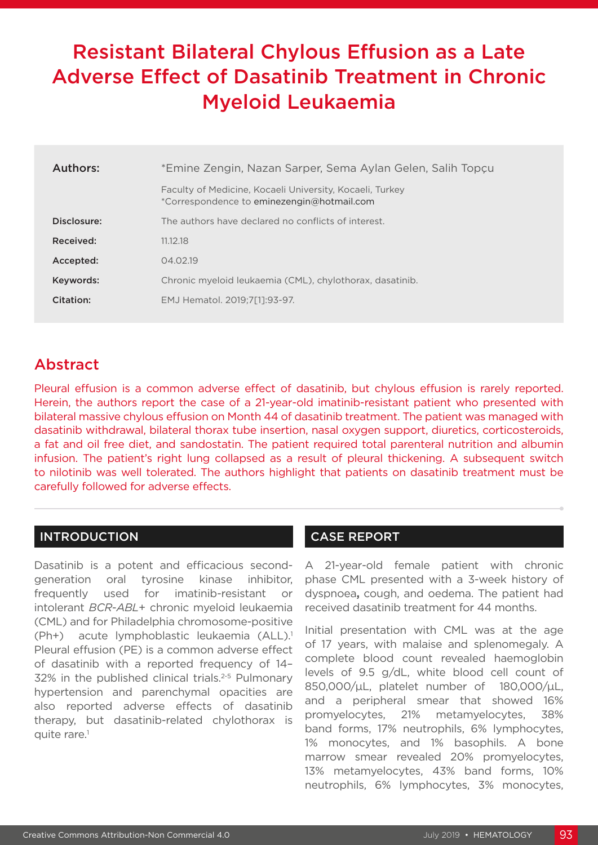# Resistant Bilateral Chylous Effusion as a Late Adverse Effect of Dasatinib Treatment in Chronic Myeloid Leukaemia

| Authors:    | *Emine Zengin, Nazan Sarper, Sema Aylan Gelen, Salih Topçu                                             |  |  |  |
|-------------|--------------------------------------------------------------------------------------------------------|--|--|--|
|             | Faculty of Medicine, Kocaeli University, Kocaeli, Turkey<br>*Correspondence to eminezengin@hotmail.com |  |  |  |
| Disclosure: | The authors have declared no conflicts of interest.                                                    |  |  |  |
| Received:   | 11.12.18                                                                                               |  |  |  |
| Accepted:   | 04.02.19                                                                                               |  |  |  |
| Keywords:   | Chronic myeloid leukaemia (CML), chylothorax, dasatinib.                                               |  |  |  |
| Citation:   | EMJ Hematol. 2019:7[11:93-97.                                                                          |  |  |  |
|             |                                                                                                        |  |  |  |

# Abstract

Pleural effusion is a common adverse effect of dasatinib, but chylous effusion is rarely reported. Herein, the authors report the case of a 21-year-old imatinib-resistant patient who presented with bilateral massive chylous effusion on Month 44 of dasatinib treatment. The patient was managed with dasatinib withdrawal, bilateral thorax tube insertion, nasal oxygen support, diuretics, corticosteroids, a fat and oil free diet, and sandostatin. The patient required total parenteral nutrition and albumin infusion. The patient's right lung collapsed as a result of pleural thickening. A subsequent switch to nilotinib was well tolerated. The authors highlight that patients on dasatinib treatment must be carefully followed for adverse effects.

## INTRODUCTION

Dasatinib is a potent and efficacious secondgeneration oral tyrosine kinase inhibitor, frequently used for imatinib-resistant or intolerant *BCR*-*ABL*+ chronic myeloid leukaemia (CML) and for Philadelphia chromosome-positive (Ph+) acute lymphoblastic leukaemia (ALL).<sup>1</sup> Pleural effusion (PE) is a common adverse effect of dasatinib with a reported frequency of 14– 32% in the published clinical trials.<sup>2-5</sup> Pulmonary hypertension and parenchymal opacities are also reported adverse effects of dasatinib therapy, but dasatinib-related chylothorax is quite rare.<sup>1</sup>

## CASE REPORT

A 21-year-old female patient with chronic phase CML presented with a 3-week history of dyspnoea**,** cough, and oedema. The patient had received dasatinib treatment for 44 months.

Initial presentation with CML was at the age of 17 years, with malaise and splenomegaly. A complete blood count revealed haemoglobin levels of 9.5 g/dL, white blood cell count of 850,000/μL, platelet number of 180,000/μL, and a peripheral smear that showed 16% promyelocytes, 21% metamyelocytes, 38% band forms, 17% neutrophils, 6% lymphocytes, 1% monocytes, and 1% basophils. A bone marrow smear revealed 20% promyelocytes, 13% metamyelocytes, 43% band forms, 10% neutrophils, 6% lymphocytes, 3% monocytes,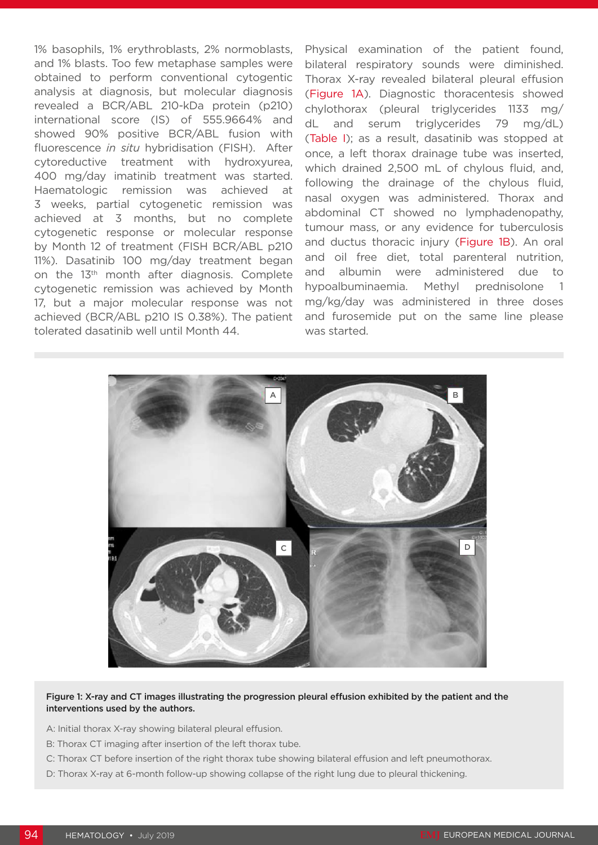1% basophils, 1% erythroblasts, 2% normoblasts, and 1% blasts. Too few metaphase samples were obtained to perform conventional cytogentic analysis at diagnosis, but molecular diagnosis revealed a BCR/ABL 210-kDa protein (p210) international score (IS) of 555.9664% and showed 90% positive BCR/ABL fusion with fluorescence *in situ* hybridisation (FISH). After cytoreductive treatment with hydroxyurea, 400 mg/day imatinib treatment was started. Haematologic remission was achieved at 3 weeks, partial cytogenetic remission was achieved at 3 months, but no complete cytogenetic response or molecular response by Month 12 of treatment (FISH BCR/ABL p210 11%). Dasatinib 100 mg/day treatment began on the 13<sup>th</sup> month after diagnosis. Complete cytogenetic remission was achieved by Month 17, but a major molecular response was not achieved (BCR/ABL p210 IS 0.38%). The patient tolerated dasatinib well until Month 44.

Physical examination of the patient found, bilateral respiratory sounds were diminished. Thorax X-ray revealed bilateral pleural effusion (Figure 1A). Diagnostic thoracentesis showed chylothorax (pleural triglycerides 1133 mg/ dL and serum triglycerides 79 mg/dL) (Table I); as a result, dasatinib was stopped at once, a left thorax drainage tube was inserted, which drained 2,500 mL of chylous fluid, and, following the drainage of the chylous fluid, nasal oxygen was administered. Thorax and abdominal CT showed no lymphadenopathy, tumour mass, or any evidence for tuberculosis and ductus thoracic injury (Figure 1B). An oral and oil free diet, total parenteral nutrition, and albumin were administered due to hypoalbuminaemia. Methyl prednisolone 1 mg/kg/day was administered in three doses and furosemide put on the same line please was started.



## Figure 1: X-ray and CT images illustrating the progression pleural effusion exhibited by the patient and the interventions used by the authors.

A: Initial thorax X-ray showing bilateral pleural effusion.

- B: Thorax CT imaging after insertion of the left thorax tube.
- C: Thorax CT before insertion of the right thorax tube showing bilateral effusion and left pneumothorax.
- D: Thorax X-ray at 6-month follow-up showing collapse of the right lung due to pleural thickening.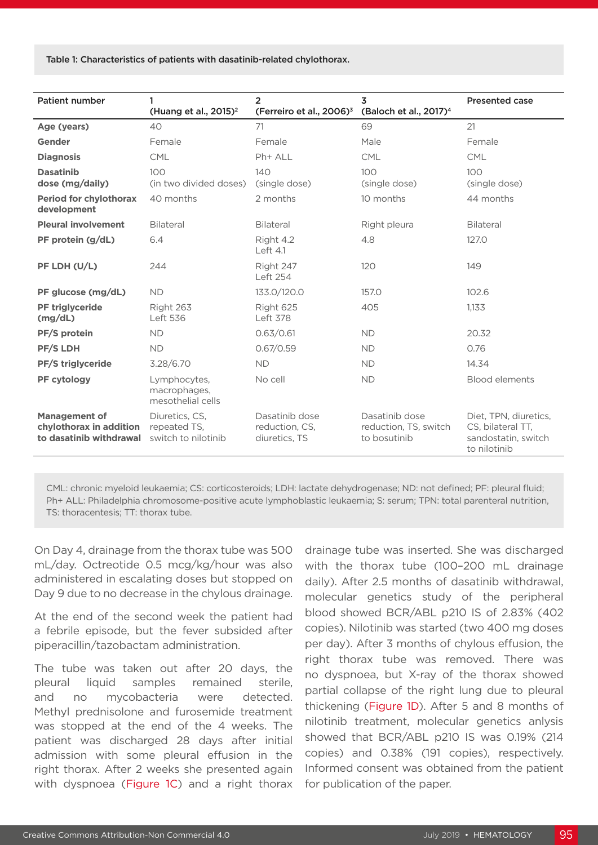Table 1: Characteristics of patients with dasatinib-related chylothorax.

| <b>Patient number</b>                                                      | 1                                                     | $\overline{2}$                                    | 3                                                       | <b>Presented case</b>                                                             |
|----------------------------------------------------------------------------|-------------------------------------------------------|---------------------------------------------------|---------------------------------------------------------|-----------------------------------------------------------------------------------|
|                                                                            | (Huang et al., $2015$ ) <sup>2</sup>                  | (Ferreiro et al., 2006) <sup>3</sup>              | (Baloch et al., 2017) <sup>4</sup>                      |                                                                                   |
| Age (years)                                                                | 40                                                    | 71                                                | 69                                                      | 21                                                                                |
| Gender                                                                     | Female                                                | Female                                            | Male                                                    | Female                                                                            |
| <b>Diagnosis</b>                                                           | <b>CML</b>                                            | Ph+ ALL                                           | <b>CML</b>                                              | <b>CML</b>                                                                        |
| <b>Dasatinib</b><br>dose (mg/daily)                                        | 100<br>(in two divided doses)                         | 140<br>(single dose)                              | 100<br>(single dose)                                    | 100<br>(single dose)                                                              |
| <b>Period for chylothorax</b><br>development                               | 40 months                                             | 2 months                                          | 10 months                                               | 44 months                                                                         |
| <b>Pleural involvement</b>                                                 | <b>Bilateral</b>                                      | <b>Bilateral</b>                                  | Right pleura                                            | Bilateral                                                                         |
| PF protein (g/dL)                                                          | 6.4                                                   | Right 4.2<br>Left $4.1$                           | 4.8                                                     | 127.0                                                                             |
| PF LDH (U/L)                                                               | 244                                                   | Right 247<br>Left 254                             | 120                                                     | 149                                                                               |
| PF glucose (mg/dL)                                                         | <b>ND</b>                                             | 133.0/120.0                                       | 157.0                                                   | 102.6                                                                             |
| <b>PF triglyceride</b><br>(mg/dL)                                          | Right 263<br><b>Left 536</b>                          | Right 625<br><b>Left 378</b>                      | 405                                                     | 1,133                                                                             |
| <b>PF/S protein</b>                                                        | <b>ND</b>                                             | 0.63/0.61                                         | <b>ND</b>                                               | 20.32                                                                             |
| <b>PF/S LDH</b>                                                            | <b>ND</b>                                             | 0.67/0.59                                         | <b>ND</b>                                               | 0.76                                                                              |
| <b>PF/S triglyceride</b>                                                   | 3.28/6.70                                             | <b>ND</b>                                         | <b>ND</b>                                               | 14.34                                                                             |
| PF cytology                                                                | Lymphocytes,<br>macrophages,<br>mesothelial cells     | No cell                                           | <b>ND</b>                                               | <b>Blood elements</b>                                                             |
| <b>Management of</b><br>chylothorax in addition<br>to dasatinib withdrawal | Diuretics, CS,<br>repeated TS,<br>switch to nilotinib | Dasatinib dose<br>reduction, CS,<br>diuretics, TS | Dasatinib dose<br>reduction, TS, switch<br>to bosutinib | Diet, TPN, diuretics,<br>CS, bilateral TT,<br>sandostatin, switch<br>to nilotinib |

CML: chronic myeloid leukaemia; CS: corticosteroids; LDH: lactate dehydrogenase; ND: not defined; PF: pleural fluid; Ph+ ALL: Philadelphia chromosome-positive acute lymphoblastic leukaemia; S: serum; TPN: total parenteral nutrition, TS: thoracentesis; TT: thorax tube.

On Day 4, drainage from the thorax tube was 500 mL/day. Octreotide 0.5 mcg/kg/hour was also administered in escalating doses but stopped on Day 9 due to no decrease in the chylous drainage.

At the end of the second week the patient had a febrile episode, but the fever subsided after piperacillin/tazobactam administration.

The tube was taken out after 20 days, the pleural liquid samples remained sterile, and no mycobacteria were detected. Methyl prednisolone and furosemide treatment was stopped at the end of the 4 weeks. The patient was discharged 28 days after initial admission with some pleural effusion in the right thorax. After 2 weeks she presented again with dyspnoea (Figure 1C) and a right thorax

drainage tube was inserted. She was discharged with the thorax tube (100–200 mL drainage daily). After 2.5 months of dasatinib withdrawal, molecular genetics study of the peripheral blood showed BCR/ABL p210 IS of 2.83% (402 copies). Nilotinib was started (two 400 mg doses per day). After 3 months of chylous effusion, the right thorax tube was removed. There was no dyspnoea, but X-ray of the thorax showed partial collapse of the right lung due to pleural thickening (Figure 1D). After 5 and 8 months of nilotinib treatment, molecular genetics anlysis showed that BCR/ABL p210 IS was 0.19% (214 copies) and 0.38% (191 copies), respectively. Informed consent was obtained from the patient for publication of the paper.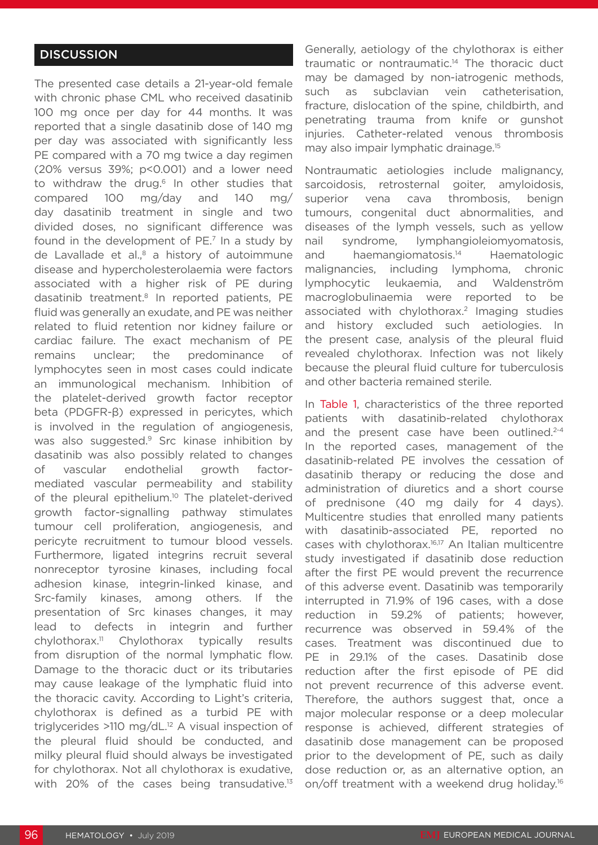## **DISCUSSION**

The presented case details a 21-year-old female with chronic phase CML who received dasatinib 100 mg once per day for 44 months. It was reported that a single dasatinib dose of 140 mg per day was associated with significantly less PE compared with a 70 mg twice a day regimen (20% versus 39%; p<0.001) and a lower need to withdraw the drug.<sup>6</sup> In other studies that compared 100 mg/day and 140 mg/ day dasatinib treatment in single and two divided doses, no significant difference was found in the development of PE.<sup>7</sup> In a study by de Lavallade et al. $8$  a history of autoimmune disease and hypercholesterolaemia were factors associated with a higher risk of PE during dasatinib treatment.8 In reported patients, PE fluid was generally an exudate, and PE was neither related to fluid retention nor kidney failure or cardiac failure. The exact mechanism of PE remains unclear; the predominance of lymphocytes seen in most cases could indicate an immunological mechanism. Inhibition of the platelet-derived growth factor receptor beta (PDGFR-β) expressed in pericytes, which is involved in the regulation of angiogenesis, was also suggested.<sup>9</sup> Src kinase inhibition by dasatinib was also possibly related to changes of vascular endothelial growth factormediated vascular permeability and stability of the pleural epithelium.<sup>10</sup> The platelet-derived growth factor-signalling pathway stimulates tumour cell proliferation, angiogenesis, and pericyte recruitment to tumour blood vessels. Furthermore, ligated integrins recruit several nonreceptor tyrosine kinases, including focal adhesion kinase, integrin-linked kinase, and Src-family kinases, among others. If the presentation of Src kinases changes, it may lead to defects in integrin and further chylothorax.<sup>11</sup> Chylothorax typically results from disruption of the normal lymphatic flow. Damage to the thoracic duct or its tributaries may cause leakage of the lymphatic fluid into the thoracic cavity. According to Light's criteria, chylothorax is defined as a turbid PE with triglycerides  $>110$  mg/dL.<sup>12</sup> A visual inspection of the pleural fluid should be conducted, and milky pleural fluid should always be investigated for chylothorax. Not all chylothorax is exudative, with 20% of the cases being transudative.<sup>13</sup>

Generally, aetiology of the chylothorax is either traumatic or nontraumatic.14 The thoracic duct may be damaged by non-iatrogenic methods, such as subclavian vein catheterisation, fracture, dislocation of the spine, childbirth, and penetrating trauma from knife or gunshot injuries. Catheter-related venous thrombosis may also impair lymphatic drainage.15

Nontraumatic aetiologies include malignancy, sarcoidosis, retrosternal goiter, amyloidosis, superior vena cava thrombosis, benign tumours, congenital duct abnormalities, and diseases of the lymph vessels, such as yellow nail syndrome, lymphangioleiomyomatosis, and haemangiomatosis.14 Haematologic malignancies, including lymphoma, chronic lymphocytic leukaemia, and Waldenström macroglobulinaemia were reported to be associated with chylothorax.<sup>2</sup> Imaging studies and history excluded such aetiologies. In the present case, analysis of the pleural fluid revealed chylothorax. Infection was not likely because the pleural fluid culture for tuberculosis and other bacteria remained sterile.

In Table 1, characteristics of the three reported patients with dasatinib-related chylothorax and the present case have been outlined.<sup>2-4</sup> In the reported cases, management of the dasatinib-related PE involves the cessation of dasatinib therapy or reducing the dose and administration of diuretics and a short course of prednisone (40 mg daily for 4 days). Multicentre studies that enrolled many patients with dasatinib-associated PE, reported no cases with chylothorax.<sup>16,17</sup> An Italian multicentre study investigated if dasatinib dose reduction after the first PE would prevent the recurrence of this adverse event. Dasatinib was temporarily interrupted in 71.9% of 196 cases, with a dose reduction in 59.2% of patients; however, recurrence was observed in 59.4% of the cases. Treatment was discontinued due to PE in 29.1% of the cases. Dasatinib dose reduction after the first episode of PE did not prevent recurrence of this adverse event. Therefore, the authors suggest that, once a major molecular response or a deep molecular response is achieved, different strategies of dasatinib dose management can be proposed prior to the development of PE, such as daily dose reduction or, as an alternative option, an on/off treatment with a weekend drug holiday.<sup>16</sup>